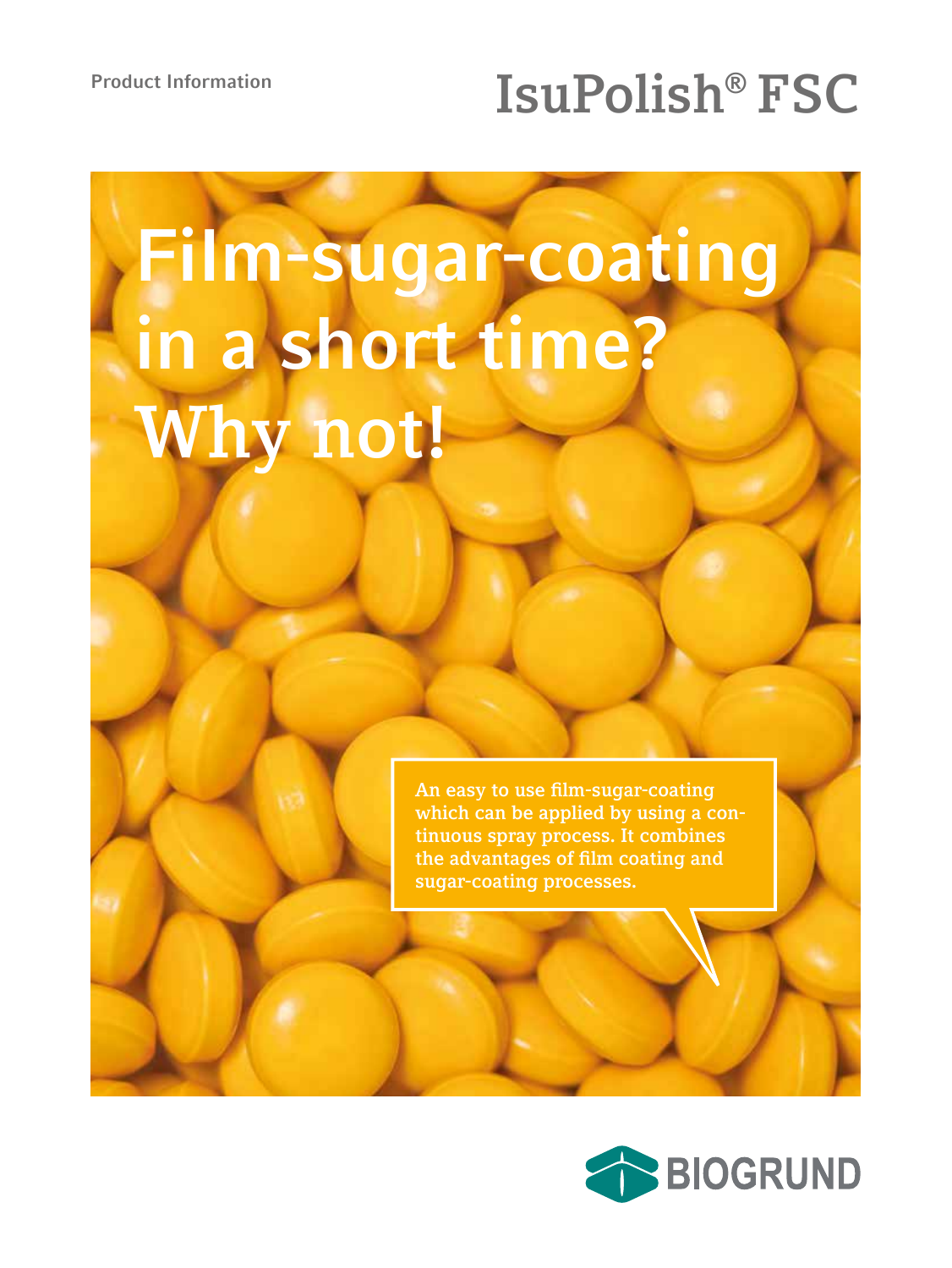## Product Information **ISUPOLISH<sup>®</sup> FSC**

# **Film-sugar-coating in a short time? Why not!**

**An easy to use film-sugar-coating which can be applied by using a continuous spray process. It combines the advantages of film coating and sugar-coating processes.**